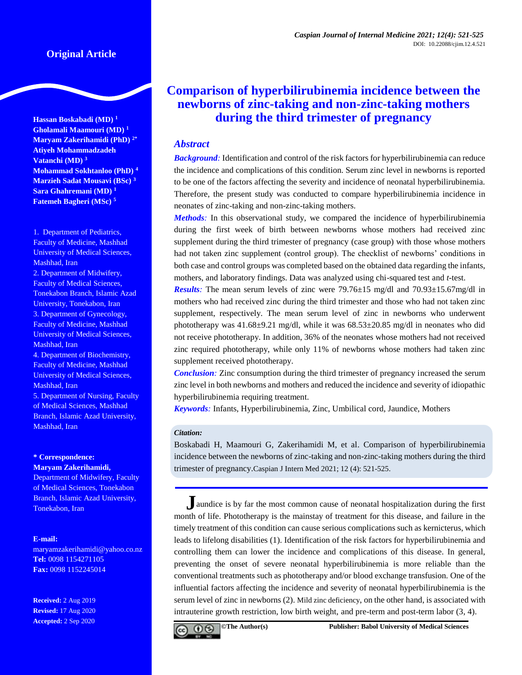**Hassan Boskabadi (MD) <sup>1</sup> Gholamali Maamouri (MD) <sup>1</sup> Maryam Zakerihamidi (PhD) 2\* Atiyeh Mohammadzadeh Vatanchi (MD) <sup>3</sup> Mohammad Sokhtanloo (PhD) <sup>4</sup> Marzieh Sadat Mousavi (BSc) <sup>3</sup> Sara Ghahremani (MD) <sup>1</sup> Fatemeh Bagheri (MSc) <sup>5</sup>**

1. Department of Pediatrics, Faculty of Medicine, Mashhad University of Medical Sciences, Mashhad, Iran 2. Department of Midwifery, Faculty of Medical Sciences, Tonekabon Branch, Islamic Azad University, Tonekabon, Iran 3. Department of Gynecology, Faculty of Medicine, Mashhad University of Medical Sciences, Mashhad, Iran 4. Department of Biochemistry,

Faculty of Medicine, Mashhad University of Medical Sciences, Mashhad, Iran

5. Department of Nursing, Faculty of Medical Sciences, Mashhad Branch, Islamic Azad University, Mashhad, Iran

## **\* Correspondence: Maryam Zakerihamidi,**

Department of Midwifery, Faculty of Medical Sciences, Tonekabon Branch, Islamic Azad University, Tonekabon, Iran

#### **E-mail:**

[maryamzakerihamidi@yahoo.co.nz](mailto:maryamzakerihamidi@yahoo.co.nz) **Tel:** 0098 1154271105 **Fax:** 0098 1152245014

**Received:** 2 Aug 2019 **Revised:** 17 Aug 2020 **Accepted:** 2 Sep 2020

# **Comparison of hyperbilirubinemia incidence between the newborns of zinc-taking and non-zinc-taking mothers during the third trimester of pregnancy**

## *Abstract*

*Background:* Identification and control of the risk factors for hyperbilirubinemia can reduce the incidence and complications of this condition. Serum zinc level in newborns is reported to be one of the factors affecting the severity and incidence of neonatal hyperbilirubinemia. Therefore, the present study was conducted to compare hyperbilirubinemia incidence in neonates of zinc-taking and non-zinc-taking mothers.

*Methods:* In this observational study, we compared the incidence of hyperbilirubinemia during the first week of birth between newborns whose mothers had received zinc supplement during the third trimester of pregnancy (case group) with those whose mothers had not taken zinc supplement (control group). The checklist of newborns' conditions in both case and control groups was completed based on the obtained data regarding the infants, mothers, and laboratory findings. Data was analyzed using chi-squared test and *t*-test.

*Results:* The mean serum levels of zinc were 79.76±15 mg/dl and 70.93±15.67mg/dl in mothers who had received zinc during the third trimester and those who had not taken zinc supplement, respectively. The mean serum level of zinc in newborns who underwent phototherapy was 41.68±9.21 mg/dl, while it was 68.53±20.85 mg/dl in neonates who did not receive phototherapy. In addition, 36% of the neonates whose mothers had not received zinc required phototherapy, while only 11% of newborns whose mothers had taken zinc supplement received phototherapy.

*Conclusion:* Zinc consumption during the third trimester of pregnancy increased the serum zinc level in both newborns and mothers and reduced the incidence and severity of idiopathic hyperbilirubinemia requiring treatment.

*Keywords:* Infants, Hyperbilirubinemia, Zinc, Umbilical cord, Jaundice, Mothers

#### *Citation:*

Boskabadi H, Maamouri G, Zakerihamidi M, et al. Comparison of hyperbilirubinemia incidence between the newborns of zinc-taking and non-zinc-taking mothers during the third trimester of pregnancy.Caspian J Intern Med 2021; 12 (4): 521-525.

**J**aundice is by far the most common cause of neonatal hospitalization during the first month of life. Phototherapy is the mainstay of treatment for this disease, and failure in the timely treatment of this condition can cause serious complications such as kernicterus, which leads to lifelong disabilities (1). Identification of the risk factors for hyperbilirubinemia and controlling them can lower the incidence and complications of this disease. In general, preventing the onset of severe neonatal hyperbilirubinemia is more reliable than the conventional treatments such as phototherapy and/or blood exchange transfusion. One of the influential factors affecting the incidence and severity of neonatal hyperbilirubinemia is the serum level of zinc in newborns (2). Mild zinc deficiency, on the other hand, is associated with intrauterine growth restriction, low birth weight, and pre-term and post-term labor (3, 4).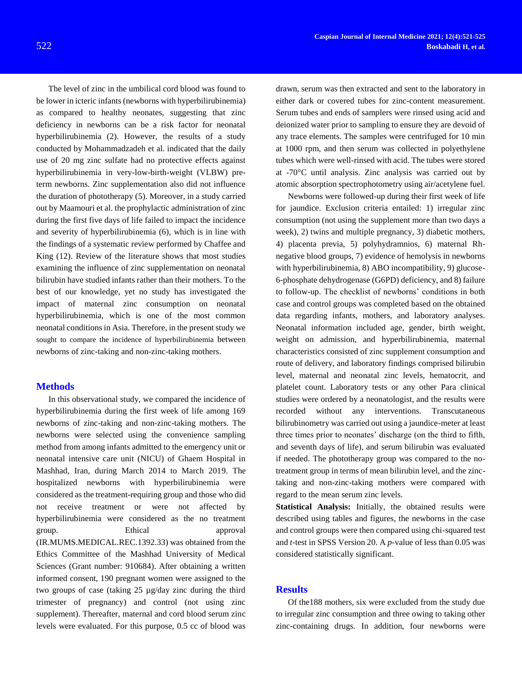The level of zinc in the umbilical cord blood was found to be lower in icteric infants (newborns with hyperbilirubinemia) as compared to healthy neonates, suggesting that zinc deficiency in newborns can be a risk factor for neonatal hyperbilirubinemia (2). However, the results of a study conducted by Mohammadzadeh et al. indicated that the daily use of 20 mg zinc sulfate had no protective effects against hyperbilirubinemia in very-low-birth-weight (VLBW) preterm newborns. Zinc supplementation also did not influence the duration of phototherapy (5). Moreover, in a study carried out by Maamouri et al. the prophylactic administration of zinc during the first five days of life failed to impact the incidence and severity of hyperbilirubinemia (6), which is in line with the findings of a systematic review performed by Chaffee and King (12). Review of the literature shows that most studies examining the influence of zinc supplementation on neonatal bilirubin have studied infants rather than their mothers. To the best of our knowledge, yet no study has investigated the impact of maternal zinc consumption on neonatal hyperbilirubinemia, which is one of the most common neonatal conditions in Asia. Therefore, in the present study we sought to compare the incidence of hyperbilirubinemia between newborns of zinc-taking and non-zinc-taking mothers.

## **Methods**

In this observational study, we compared the incidence of hyperbilirubinemia during the first week of life among 169 newborns of zinc-taking and non-zinc-taking mothers. The newborns were selected using the convenience sampling method from among infants admitted to the emergency unit or neonatal intensive care unit (NICU) of Ghaem Hospital in Mashhad, Iran, during March 2014 to March 2019. The hospitalized newborns with hyperbilirubinemia were considered as the treatment-requiring group and those who did not receive treatment or were not affected by hyperbilirubinemia were considered as the no treatment group. Ethical approval (IR.MUMS.MEDICAL.REC.1392.33) was obtained from the Ethics Committee of the Mashhad University of Medical Sciences (Grant number: [910684\)](http://research.mums.ac.ir/main/cartable.action). After obtaining a written informed consent, 190 pregnant women were assigned to the two groups of case (taking 25 µg/day zinc during the third trimester of pregnancy) and control (not using zinc supplement). Thereafter, maternal and cord blood serum zinc levels were evaluated. For this purpose, 0.5 cc of blood was

drawn, serum was then extracted and sent to the laboratory in either dark or covered tubes for zinc-content measurement. Serum tubes and ends of samplers were rinsed using acid and deionized water prior to sampling to ensure they are devoid of any trace elements. The samples were centrifuged for 10 min at 1000 rpm, and then serum was collected in polyethylene tubes which were well-rinsed with acid. The tubes were stored at -70°C until analysis. Zinc analysis was carried out by atomic absorption spectrophotometry using air/acetylene fuel.

Newborns were followed-up during their first week of life for jaundice. Exclusion criteria entailed: 1) irregular zinc consumption (not using the supplement more than two days a week), 2) twins and multiple pregnancy, 3) diabetic mothers, 4) placenta previa, 5) polyhydramnios, 6) maternal Rhnegative blood groups, 7) evidence of hemolysis in newborns with hyperbilirubinemia, 8) ABO incompatibility, 9) glucose-6-phosphate dehydrogenase (G6PD) deficiency, and 8) failure to follow-up. The checklist of newborns' conditions in both case and control groups was completed based on the obtained data regarding infants, mothers, and laboratory analyses. Neonatal information included age, gender, birth weight, weight on admission, and hyperbilirubinemia, maternal characteristics consisted of zinc supplement consumption and route of delivery, and laboratory findings comprised bilirubin level, maternal and neonatal zinc levels, hematocrit, and platelet count. Laboratory tests or any other Para clinical studies were ordered by a neonatologist, and the results were recorded without any interventions. Transcutaneous bilirubinometry was carried out using a jaundice-meter at least three times prior to neonates' discharge (on the third to fifth, and seventh days of life), and serum bilirubin was evaluated if needed. The phototherapy group was compared to the notreatment group in terms of mean bilirubin level, and the zinctaking and non-zinc-taking mothers were compared with regard to the mean serum zinc levels.

**Statistical Analysis:** Initially, the obtained results were described using tables and figures, the newborns in the case and control groups were then compared using chi-squared test and *t*-test in SPSS Version 20. A *p-*value of less than 0.05 was considered statistically significant.

## **Results**

Of the188 mothers, six were excluded from the study due to irregular zinc consumption and three owing to taking other zinc-containing drugs. In addition, four newborns were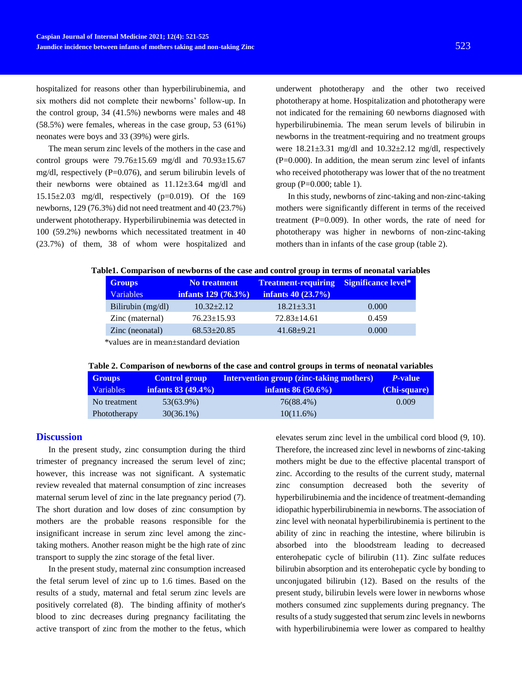hospitalized for reasons other than hyperbilirubinemia, and six mothers did not complete their newborns' follow-up. In the control group, 34 (41.5%) newborns were males and 48 (58.5%) were females, whereas in the case group, 53 (61%) neonates were boys and 33 (39%) were girls.

The mean serum zinc levels of the mothers in the case and control groups were  $79.76 \pm 15.69$  mg/dl and  $70.93 \pm 15.67$ mg/dl, respectively (P=0.076), and serum bilirubin levels of their newborns were obtained as  $11.12\pm3.64$  mg/dl and 15.15 $\pm$ 2.03 mg/dl, respectively (p=0.019). Of the 169 newborns, 129 (76.3%) did not need treatment and 40 (23.7%) underwent phototherapy. Hyperbilirubinemia was detected in 100 (59.2%) newborns which necessitated treatment in 40 (23.7%) of them, 38 of whom were hospitalized and

underwent phototherapy and the other two received phototherapy at home. Hospitalization and phototherapy were not indicated for the remaining 60 newborns diagnosed with hyperbilirubinemia. The mean serum levels of bilirubin in newborns in the treatment-requiring and no treatment groups were  $18.21 \pm 3.31$  mg/dl and  $10.32 \pm 2.12$  mg/dl, respectively  $(P=0.000)$ . In addition, the mean serum zinc level of infants who received phototherapy was lower that of the no treatment group  $(P=0.000;$  table 1).

In this study, newborns of zinc-taking and non-zinc-taking mothers were significantly different in terms of the received treatment  $(P=0.009)$ . In other words, the rate of need for phototherapy was higher in newborns of non-zinc-taking mothers than in infants of the case group (table 2).

| <b>Groups</b>                          | No treatment          | <b>Treatment-requiring Significance level*</b> |       |  |  |  |
|----------------------------------------|-----------------------|------------------------------------------------|-------|--|--|--|
| <b>Variables</b>                       | infants $129(76.3\%)$ | infants $40(23.7%)$                            |       |  |  |  |
| Bilirubin (mg/dl)                      | $10.32 + 2.12$        | $18.21 \pm 3.31$                               | 0.000 |  |  |  |
| Zinc (maternal)                        | $76.23 \pm 15.93$     | $72.83 \pm 14.61$                              | 0.459 |  |  |  |
| Zinc (neonatal)                        | $68.53 \pm 20.85$     | $41.68 \pm 9.21$                               | 0.000 |  |  |  |
| *values are in mean standard deviation |                       |                                                |       |  |  |  |

\*values are in mean±standard deviation

|--|

| <b>Groups</b>    | <b>Control group</b> | <b>Intervention group (zinc-taking mothers)</b> | P-value      |
|------------------|----------------------|-------------------------------------------------|--------------|
| <b>Variables</b> | infants $83(49.4\%)$ | infants $86 (50.6\%)$                           | (Chi-square) |
| No treatment     | 53(63.9%)            | 76(88.4%)                                       | 0.009        |
| Phototherapy     | $30(36.1\%)$         | $10(11.6\%)$                                    |              |

## **Discussion**

In the present study, zinc consumption during the third trimester of pregnancy increased the serum level of zinc; however, this increase was not significant. A systematic review revealed that maternal consumption of zinc increases maternal serum level of zinc in the late pregnancy period (7). The short duration and low doses of zinc consumption by mothers are the probable reasons responsible for the insignificant increase in serum zinc level among the zinctaking mothers. Another reason might be the high rate of zinc transport to supply the zinc storage of the fetal liver.

In the present study, maternal zinc consumption increased the fetal serum level of zinc up to 1.6 times. Based on the results of a study, maternal and fetal serum zinc levels are positively correlated (8). The binding affinity of mother's blood to zinc decreases during pregnancy facilitating the active transport of zinc from the mother to the fetus, which elevates serum zinc level in the umbilical cord blood (9, 10). Therefore, the increased zinc level in newborns of zinc-taking mothers might be due to the effective placental transport of zinc. According to the results of the current study, maternal zinc consumption decreased both the severity of hyperbilirubinemia and the incidence of treatment-demanding idiopathic hyperbilirubinemia in newborns. The association of zinc level with neonatal hyperbilirubinemia is pertinent to the ability of zinc in reaching the intestine, where bilirubin is absorbed into the bloodstream leading to decreased enterohepatic cycle of bilirubin (11). Zinc sulfate reduces bilirubin absorption and its enterohepatic cycle by bonding to unconjugated bilirubin (12). Based on the results of the present study, bilirubin levels were lower in newborns whose mothers consumed zinc supplements during pregnancy. The results of a study suggested that serum zinc levels in newborns with hyperbilirubinemia were lower as compared to healthy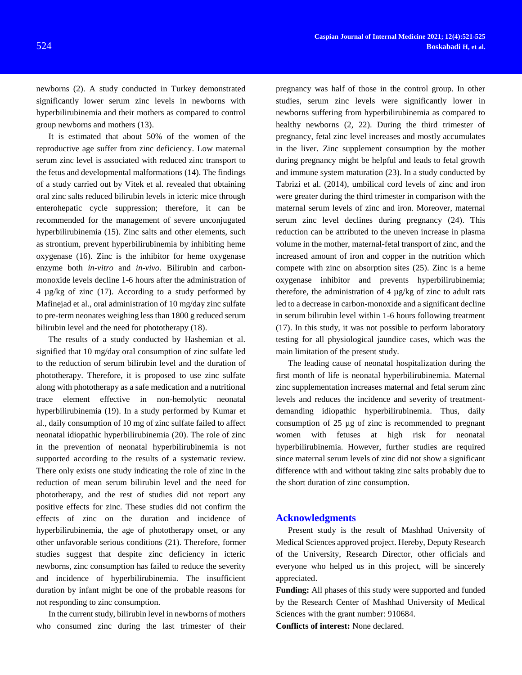newborns (2). A study conducted in Turkey demonstrated significantly lower serum zinc levels in newborns with hyperbilirubinemia and their mothers as compared to control group newborns and mothers (13).

It is estimated that about 50% of the women of the reproductive age suffer from zinc deficiency. Low maternal serum zinc level is associated with reduced zinc transport to the fetus and developmental malformations (14). The findings of a study carried out by Vitek et al. revealed that obtaining oral zinc salts reduced bilirubin levels in icteric mice through enterohepatic cycle suppression; therefore, it can be recommended for the management of severe unconjugated hyperbilirubinemia (15). Zinc salts and other elements, such as strontium, prevent hyperbilirubinemia by inhibiting heme oxygenase (16). Zinc is the inhibitor for heme oxygenase enzyme both *in-vitro* and *in-vivo*. Bilirubin and carbonmonoxide levels decline 1-6 hours after the administration of 4 µg/kg of zinc (17). According to a study performed by Mafinejad et al., oral administration of 10 mg/day zinc sulfate to pre-term neonates weighing less than 1800 g reduced serum bilirubin level and the need for phototherapy (18).

The results of a study conducted by Hashemian et al. signified that 10 mg/day oral consumption of zinc sulfate led to the reduction of serum bilirubin level and the duration of phototherapy. Therefore, it is proposed to use zinc sulfate along with phototherapy as a safe medication and a nutritional trace element effective in non-hemolytic neonatal hyperbilirubinemia (19). In a study performed by Kumar et al., daily consumption of 10 mg of zinc sulfate failed to affect neonatal idiopathic hyperbilirubinemia (20). The role of zinc in the prevention of neonatal hyperbilirubinemia is not supported according to the results of a systematic review. There only exists one study indicating the role of zinc in the reduction of mean serum bilirubin level and the need for phototherapy, and the rest of studies did not report any positive effects for zinc. These studies did not confirm the effects of zinc on the duration and incidence of hyperbilirubinemia, the age of phototherapy onset, or any other unfavorable serious conditions (21). Therefore, former studies suggest that despite zinc deficiency in icteric newborns, zinc consumption has failed to reduce the severity and incidence of hyperbilirubinemia. The insufficient duration by infant might be one of the probable reasons for not responding to zinc consumption.

In the current study, bilirubin level in newborns of mothers who consumed zinc during the last trimester of their

pregnancy was half of those in the control group. In other studies, serum zinc levels were significantly lower in newborns suffering from hyperbilirubinemia as compared to healthy newborns (2, 22). During the third trimester of pregnancy, fetal zinc level increases and mostly accumulates in the liver. Zinc supplement consumption by the mother during pregnancy might be helpful and leads to fetal growth and immune system maturation (23). In a study conducted by Tabrizi et al. (2014), umbilical cord levels of zinc and iron were greater during the third trimester in comparison with the maternal serum levels of zinc and iron. Moreover, maternal serum zinc level declines during pregnancy (24). This reduction can be attributed to the uneven increase in plasma volume in the mother, maternal-fetal transport of zinc, and the increased amount of iron and copper in the nutrition which compete with zinc on absorption sites (25). Zinc is a heme oxygenase inhibitor and prevents hyperbilirubinemia; therefore, the administration of 4 µg/kg of zinc to adult rats led to a decrease in carbon-monoxide and a significant decline in serum bilirubin level within 1-6 hours following treatment (17). In this study, it was not possible to perform laboratory testing for all physiological jaundice cases, which was the main limitation of the present study.

The leading cause of neonatal hospitalization during the first month of life is neonatal hyperbilirubinemia. Maternal zinc supplementation increases maternal and fetal serum zinc levels and reduces the incidence and severity of treatmentdemanding idiopathic hyperbilirubinemia. Thus, daily consumption of 25 µg of zinc is recommended to pregnant women with fetuses at high risk for neonatal hyperbilirubinemia. However, further studies are required since maternal serum levels of zinc did not show a significant difference with and without taking zinc salts probably due to the short duration of zinc consumption.

#### **Acknowledgments**

Present study is the result of Mashhad University of Medical Sciences approved project. Hereby, Deputy Research of the University, Research Director, other officials and everyone who helped us in this project, will be sincerely appreciated.

**Funding:** All phases of this study were supported and funded by the Research Center of Mashhad University of Medical Sciences with the grant number: 910684.

**Conflicts of interest:** None declared.